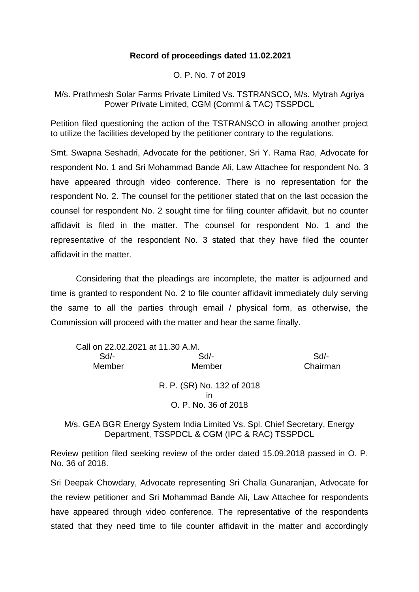## **Record of proceedings dated 11.02.2021**

O. P. No. 7 of 2019

M/s. Prathmesh Solar Farms Private Limited Vs. TSTRANSCO, M/s. Mytrah Agriya Power Private Limited, CGM (Comml & TAC) TSSPDCL

Petition filed questioning the action of the TSTRANSCO in allowing another project to utilize the facilities developed by the petitioner contrary to the regulations.

Smt. Swapna Seshadri, Advocate for the petitioner, Sri Y. Rama Rao, Advocate for respondent No. 1 and Sri Mohammad Bande Ali, Law Attachee for respondent No. 3 have appeared through video conference. There is no representation for the respondent No. 2. The counsel for the petitioner stated that on the last occasion the counsel for respondent No. 2 sought time for filing counter affidavit, but no counter affidavit is filed in the matter. The counsel for respondent No. 1 and the representative of the respondent No. 3 stated that they have filed the counter affidavit in the matter.

Considering that the pleadings are incomplete, the matter is adjourned and time is granted to respondent No. 2 to file counter affidavit immediately duly serving the same to all the parties through email / physical form, as otherwise, the Commission will proceed with the matter and hear the same finally.

| Call on 22.02.2021 at 11.30 A.M. |                            |          |
|----------------------------------|----------------------------|----------|
| $Sd$ -                           | $Sd$ -                     | $Sd$ -   |
| Member                           | Member                     | Chairman |
|                                  | R. P. (SR) No. 132 of 2018 |          |
|                                  | ın                         |          |
|                                  | O. P. No. 36 of 2018       |          |

M/s. GEA BGR Energy System India Limited Vs. Spl. Chief Secretary, Energy Department, TSSPDCL & CGM (IPC & RAC) TSSPDCL

Review petition filed seeking review of the order dated 15.09.2018 passed in O. P. No. 36 of 2018.

Sri Deepak Chowdary, Advocate representing Sri Challa Gunaranjan, Advocate for the review petitioner and Sri Mohammad Bande Ali, Law Attachee for respondents have appeared through video conference. The representative of the respondents stated that they need time to file counter affidavit in the matter and accordingly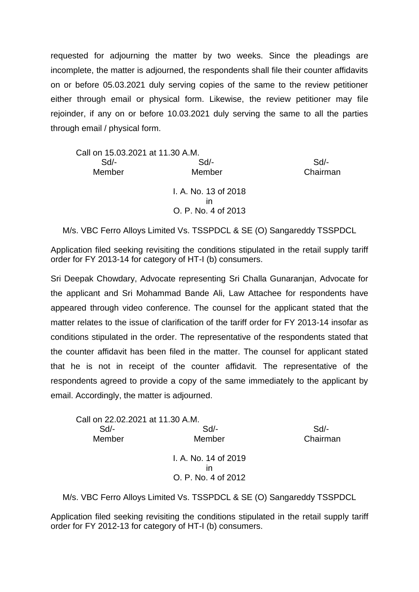requested for adjourning the matter by two weeks. Since the pleadings are incomplete, the matter is adjourned, the respondents shall file their counter affidavits on or before 05.03.2021 duly serving copies of the same to the review petitioner either through email or physical form. Likewise, the review petitioner may file rejoinder, if any on or before 10.03.2021 duly serving the same to all the parties through email / physical form.

| Call on 15.03.2021 at 11.30 A.M. |                           |          |
|----------------------------------|---------------------------|----------|
| $Sd$ -                           | Sd/-                      | $Sd$ -   |
| Member                           | Member                    | Chairman |
|                                  | I. A. No. 13 of 2018      |          |
|                                  | ın<br>O. P. No. 4 of 2013 |          |

M/s. VBC Ferro Alloys Limited Vs. TSSPDCL & SE (O) Sangareddy TSSPDCL

Application filed seeking revisiting the conditions stipulated in the retail supply tariff order for FY 2013-14 for category of HT-I (b) consumers.

Sri Deepak Chowdary, Advocate representing Sri Challa Gunaranjan, Advocate for the applicant and Sri Mohammad Bande Ali, Law Attachee for respondents have appeared through video conference. The counsel for the applicant stated that the matter relates to the issue of clarification of the tariff order for FY 2013-14 insofar as conditions stipulated in the order. The representative of the respondents stated that the counter affidavit has been filed in the matter. The counsel for applicant stated that he is not in receipt of the counter affidavit. The representative of the respondents agreed to provide a copy of the same immediately to the applicant by email. Accordingly, the matter is adjourned.

| Call on 22.02.2021 at 11.30 A.M. |                      |          |
|----------------------------------|----------------------|----------|
| $Sd$ -                           | $Sd$ -               | $Sd$ -   |
| Member                           | Member               | Chairman |
|                                  | I. A. No. 14 of 2019 |          |
|                                  | ın                   |          |
|                                  | O. P. No. 4 of 2012  |          |

M/s. VBC Ferro Alloys Limited Vs. TSSPDCL & SE (O) Sangareddy TSSPDCL

Application filed seeking revisiting the conditions stipulated in the retail supply tariff order for FY 2012-13 for category of HT-I (b) consumers.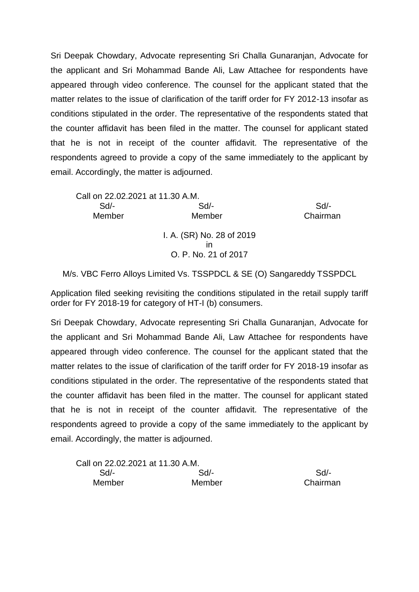Sri Deepak Chowdary, Advocate representing Sri Challa Gunaranjan, Advocate for the applicant and Sri Mohammad Bande Ali, Law Attachee for respondents have appeared through video conference. The counsel for the applicant stated that the matter relates to the issue of clarification of the tariff order for FY 2012-13 insofar as conditions stipulated in the order. The representative of the respondents stated that the counter affidavit has been filed in the matter. The counsel for applicant stated that he is not in receipt of the counter affidavit. The representative of the respondents agreed to provide a copy of the same immediately to the applicant by email. Accordingly, the matter is adjourned.

Call on 22.02.2021 at 11.30 A.M. Sd/- Sd/- Sd/- Member Member Chairman I. A. (SR) No. 28 of 2019 in O. P. No. 21 of 2017

M/s. VBC Ferro Alloys Limited Vs. TSSPDCL & SE (O) Sangareddy TSSPDCL

Application filed seeking revisiting the conditions stipulated in the retail supply tariff order for FY 2018-19 for category of HT-I (b) consumers.

Sri Deepak Chowdary, Advocate representing Sri Challa Gunaranjan, Advocate for the applicant and Sri Mohammad Bande Ali, Law Attachee for respondents have appeared through video conference. The counsel for the applicant stated that the matter relates to the issue of clarification of the tariff order for FY 2018-19 insofar as conditions stipulated in the order. The representative of the respondents stated that the counter affidavit has been filed in the matter. The counsel for applicant stated that he is not in receipt of the counter affidavit. The representative of the respondents agreed to provide a copy of the same immediately to the applicant by email. Accordingly, the matter is adjourned.

| Call on 22.02.2021 at 11.30 A.M. |        |          |
|----------------------------------|--------|----------|
| Sd/-                             | Sd/-   | Sd/-     |
| Member                           | Member | Chairman |